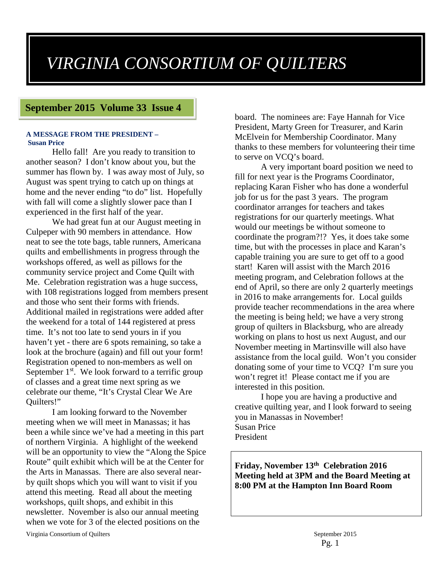# *VIRGINIA CONSORTIUM OF QUILTERS*

## **September 2015 Volume 33 Issue 4**

#### **A MESSAGE FROM THE PRESIDENT – Susan Price**

Hello fall! Are you ready to transition to another season? I don't know about you, but the summer has flown by. I was away most of July, so August was spent trying to catch up on things at home and the never ending "to do" list. Hopefully with fall will come a slightly slower pace than I experienced in the first half of the year.

We had great fun at our August meeting in Culpeper with 90 members in attendance. How neat to see the tote bags, table runners, Americana quilts and embellishments in progress through the workshops offered, as well as pillows for the community service project and Come Quilt with Me. Celebration registration was a huge success, with 108 registrations logged from members present and those who sent their forms with friends. Additional mailed in registrations were added after the weekend for a total of 144 registered at press time. It's not too late to send yours in if you haven't yet - there are 6 spots remaining, so take a look at the brochure (again) and fill out your form! Registration opened to non-members as well on September  $1<sup>st</sup>$ . We look forward to a terrific group of classes and a great time next spring as we celebrate our theme, "It's Crystal Clear We Are Quilters!"

I am looking forward to the November meeting when we will meet in Manassas; it has been a while since we've had a meeting in this part of northern Virginia. A highlight of the weekend will be an opportunity to view the "Along the Spice Route" quilt exhibit which will be at the Center for the Arts in Manassas. There are also several nearby quilt shops which you will want to visit if you attend this meeting. Read all about the meeting workshops, quilt shops, and exhibit in this newsletter. November is also our annual meeting when we vote for 3 of the elected positions on the

board. The nominees are: Faye Hannah for Vice President, Marty Green for Treasurer, and Karin McElvein for Membership Coordinator. Many thanks to these members for volunteering their time to serve on VCQ's board.

A very important board position we need to fill for next year is the Programs Coordinator, replacing Karan Fisher who has done a wonderful job for us for the past 3 years. The program coordinator arranges for teachers and takes registrations for our quarterly meetings. What would our meetings be without someone to coordinate the program?!? Yes, it does take some time, but with the processes in place and Karan's capable training you are sure to get off to a good start! Karen will assist with the March 2016 meeting program, and Celebration follows at the end of April, so there are only 2 quarterly meetings in 2016 to make arrangements for. Local guilds provide teacher recommendations in the area where the meeting is being held; we have a very strong group of quilters in Blacksburg, who are already working on plans to host us next August, and our November meeting in Martinsville will also have assistance from the local guild. Won't you consider donating some of your time to VCQ? I'm sure you won't regret it! Please contact me if you are interested in this position.

I hope you are having a productive and creative quilting year, and I look forward to seeing you in Manassas in November! Susan Price President

**Friday, November 13th Celebration 2016 Meeting held at 3PM and the Board Meeting at 8:00 PM at the Hampton Inn Board Room**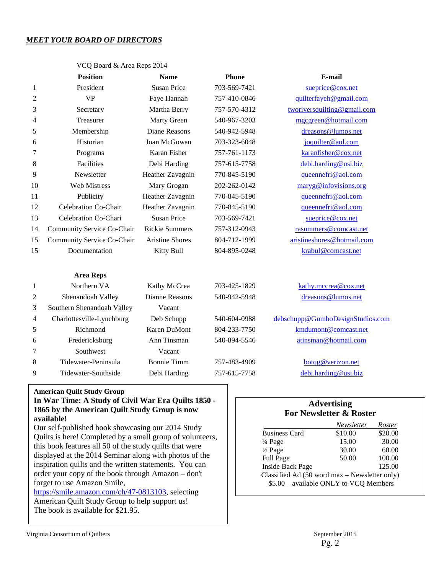## *MEET YOUR BOARD OF DIRECTORS*

|    | <b>Position</b>            | <b>Name</b>                   | <b>Phone</b>        | E-mail                              |
|----|----------------------------|-------------------------------|---------------------|-------------------------------------|
| 1  | President                  | <b>Susan Price</b>            | 703-569-7421        | sueprice@cox.net                    |
| 2  | <b>VP</b>                  | Faye Hannah                   | 757-410-0846        | quilterfayeh@gmail.com              |
| 3  | Secretary                  | Martha Berry                  | 757-570-4312        | tworiversquilting@gmail.com         |
| 4  | Treasurer                  | Marty Green                   | 540-967-3203        | mgcgreen@hotmail.com                |
| 5  | Membership                 | Diane Reasons                 | 540-942-5948        | dreasons@lumos.net                  |
| 6  | Historian                  | Joan McGowan                  | 703-323-6048        | joquilter@aol.com                   |
| 7  | Programs                   | Karan Fisher                  | 757-761-1173        | karanfisher@cox.net                 |
| 8  | Facilities                 | Debi Harding                  | 757-615-7758        | debi.harding@usi.biz                |
| 9  | Newsletter                 | Heather Zavagnin              | 770-845-5190        | queennefri@aol.com                  |
| 10 | <b>Web Mistress</b>        | Mary Grogan                   | 202-262-0142        | maryg@infovisions.org               |
| 11 | Publicity                  | Heather Zavagnin              | 770-845-5190        | queennefri@aol.com                  |
| 12 | Celebration Co-Chair       | Heather Zavagnin              | 770-845-5190        | queennefri@aol.com                  |
| 13 | Celebration Co-Chari       | <b>Susan Price</b>            | 703-569-7421        | sueprice@cox.net                    |
| 14 | Community Service Co-Chair | <b>Rickie Summers</b>         | 757-312-0943        | rasummers@comcast.net               |
| 15 | Community Service Co-Chair | <b>Aristine Shores</b>        | 804-712-1999        | aristineshores@hotmail.com          |
| 15 | Documentation              | Kitty Bull                    | 804-895-0248        | krabul@comcast.net                  |
|    | <b>Area Reps</b>           |                               |                     |                                     |
| 1  | Northern VA                | Kathy McCrea                  | 703-425-1829        | kathy.mccrea@cox.net                |
| 2  | Shenandoah Valley          | Dianne Reasons                | 540-942-5948        | dreasons@lumos.net                  |
| 3  | Southern Shenandoah Valley | Vacant                        |                     |                                     |
|    | C1.11.1                    | $D_{\cdot}1$ , $C_{\cdot}1$ , | $F$ 40 $F$ 0.4 0000 | $1.1 \cdot 1$ $2.0 \cdot 1 \cdot 2$ |

VCQ Board & Area Reps 2014

## 4 Charlottesville-Lynchburg Deb Schupp 540-604-0988 [debschupp@GumboDesignStudios.com](mailto:debschupp@GumboDesignStudios.com) 5 Richmond Karen DuMont 804-233-7750 [kmdumont@comcast.net](mailto:kmdumont@comcast.net) 6 Fredericksburg Ann Tinsman 540-894-5546 atinsman@hotmail.com 7 Southwest Vacant 8 Tidewater-Peninsula Bonnie Timm 757-483-4909 [botqg@verizon.net](mailto:botqg@verizon.net) 9 Tidewater-Southside Debi Harding 757-615-7758 [debi.harding@usi.biz](mailto:debi.harding@usi.biz)

#### **American Quilt Study Group**

## **In War Time: A Study of Civil War Era Quilts 1850 - 1865 by the American Quilt Study Group is now available!**

Our self-published book showcasing our 2014 Study Quilts is here! Completed by a small group of volunteers, this book features all 50 of the study quilts that were displayed at the 2014 Seminar along with photos of the inspiration quilts and the written statements. You can order your copy of the book through Amazon – don't forget to use Amazon Smile,

[https://smile.amazon.com/ch/47-0813103,](https://smile.amazon.com/ch/47-0813103) selecting American Quilt Study Group to help support us! The book is available for \$21.95.

## **Advertising For Newsletter & Roster**

|                                               | Newsletter | Roster  |  |
|-----------------------------------------------|------------|---------|--|
| <b>Business Card</b>                          | \$10.00    | \$20.00 |  |
| $\frac{1}{4}$ Page                            | 15.00      | 30.00   |  |
| $\frac{1}{2}$ Page                            | 30.00      | 60.00   |  |
| Full Page                                     | 50.00      | 100.00  |  |
| <b>Inside Back Page</b>                       |            | 125.00  |  |
| Classified Ad (50 word max - Newsletter only) |            |         |  |
| \$5.00 - available ONLY to VCQ Members        |            |         |  |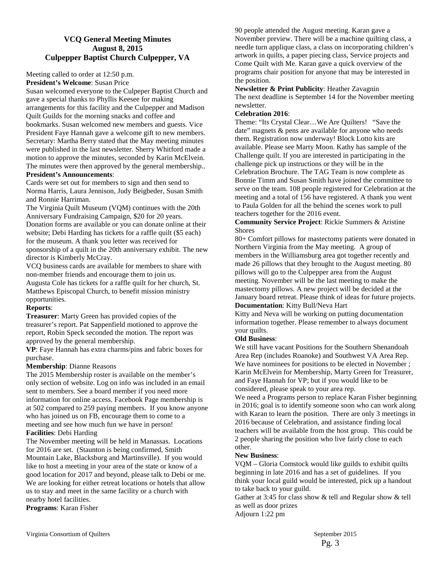## **VCQ General Meeting Minutes August 8, 2015 Culpepper Baptist Church Culpepper, VA**

Meeting called to order at 12:50 p.m.

**President's Welcome**: Susan Price

Susan welcomed everyone to the Culpeper Baptist Church and gave a special thanks to Phyllis Keesee for making arrangements for this facility and the Culpepper and Madison Quilt Guilds for the morning snacks and coffee and bookmarks. Susan welcomed new members and guests. Vice President Faye Hannah gave a welcome gift to new members. Secretary: Martha Berry stated that the May meeting minutes were published in the last newsletter. Sherry Whitford made a motion to approve the minutes, seconded by Karin McElvein. The minutes were then approved by the general membership.. **President's Announcements**:

Cards were set out for members to sign and then send to Norma Harris, Laura Jennison, Judy Beigbeder, Susan Smith and Ronnie Harriman.

The Virginia Quilt Museum (VQM) continues with the 20th Anniversary Fundraising Campaign, \$20 for 20 years. Donation forms are available or you can donate online at their website; Debi Harding has tickets for a raffle quilt (\$5 each) for the museum. A thank you letter was received for sponsorship of a quilt in the 20th anniversary exhibit. The new director is Kimberly McCray.

VCQ business cards are available for members to share with non-member friends and encourage them to join us.

Augusta Cole has tickets for a raffle quilt for her church, St. Matthews Episcopal Church, to benefit mission ministry opportunities.

## **Reports**:

**Treasurer**: Marty Green has provided copies of the treasurer's report. Pat Sappenfield motioned to approve the report, Robin Speck seconded the motion. The report was approved by the general membership.

**VP**: Faye Hannah has extra charms/pins and fabric boxes for purchase.

#### **Membership**: Dianne Reasons

The 2015 Membership roster is available on the member's only section of website. Log on info was included in an email sent to members. See a board member if you need more information for online access. Facebook Page membership is at 502 compared to 259 paying members. If you know anyone who has joined us on FB, encourage them to come to a meeting and see how much fun we have in person!

#### **Facilities**: Debi Harding

The November meeting will be held in Manassas. Locations for 2016 are set. (Staunton is being confirmed, Smith Mountain Lake, Blacksburg and Martinsville). If you would like to host a meeting in your area of the state or know of a good location for 2017 and beyond, please talk to Debi or me. We are looking for either retreat locations or hotels that allow us to stay and meet in the same facility or a church with nearby hotel facilities.

**Programs**: Karan Fisher

90 people attended the August meeting. Karan gave a November preview. There will be a machine quilting class, a needle turn applique class, a class on incorporating children's artwork in quilts, a paper piecing class, Service projects and Come Quilt with Me. Karan gave a quick overview of the programs chair position for anyone that may be interested in the position.

**Newsletter & Print Publicity**: Heather Zavagnin The next deadline is September 14 for the November meeting newsletter.

#### **Celebration 2016**:

Theme: "Its Crystal Clear…We Are Quilters! "Save the date" magnets & pens are available for anyone who needs them. Registration now underway! Block Lotto kits are available. Please see Marty Moon. Kathy has sample of the Challenge quilt. If you are interested in participating in the challenge pick up instructions or they will be in the Celebration Brochure. The TAG Team is now complete as Bonnie Timm and Susan Smith have joined the committee to serve on the team. 108 people registered for Celebration at the meeting and a total of 156 have registered. A thank you went to Paula Golden for all the behind the scenes work to pull teachers together for the 2016 event.

**Community Service Project**: Rickie Summers & Aristine **Shores** 

80+ Comfort pillows for mastectomy patients were donated in Northern Virginia from the May meeting. A group of members in the Williamsburg area got together recently and made 26 pillows that they brought to the August meeting. 80 pillows will go to the Culpepper area from the August meeting. November will be the last meeting to make the mastectomy pillows. A new project will be decided at the January board retreat. Please think of ideas for future projects. **Documentation**: Kitty Bull/Neva Hart

Kitty and Neva will be working on putting documentation information together. Please remember to always document your quilts.

## **Old Business**:

We still have vacant Positions for the Southern Shenandoah Area Rep (includes Roanoke) and Southwest VA Area Rep. We have nominees for positions to be elected in November ; Karin McElvein for Membership, Marty Green for Treasurer, and Faye Hannah for VP; but if you would like to be considered, please speak to your area rep.

We need a Programs person to replace Karan Fisher beginning in 2016; goal is to identify someone soon who can work along with Karan to learn the position. There are only 3 meetings in 2016 because of Celebration, and assistance finding local teachers will be available from the host group. This could be 2 people sharing the position who live fairly close to each other.

## **New Business**:

VQM – Gloria Comstock would like guilds to exhibit quilts beginning in late 2016 and has a set of guidelines. If you think your local guild would be interested, pick up a handout to take back to your guild.

Gather at 3:45 for class show & tell and Regular show & tell as well as door prizes

Adjourn 1:22 pm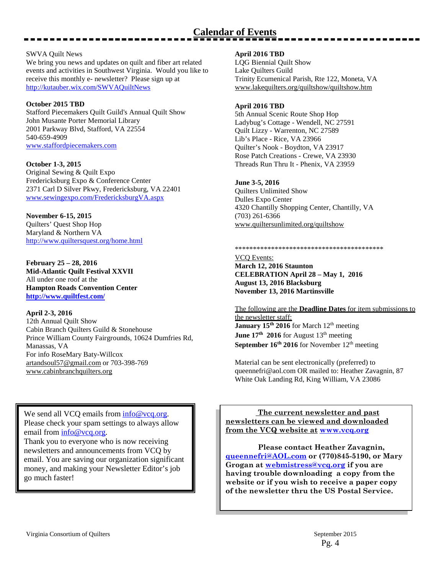# **Calendar of Events**

#### SWVA Quilt News

We bring you news and updates on quilt and fiber art related events and activities in Southwest Virginia. Would you like to receive this monthly e- newsletter? Please sign up at <http://kutauber.wix.com/SWVAQuiltNews>

#### **October 2015 TBD**

Stafford Piecemakers Quilt Guild's Annual Quilt Show John Musante Porter Memorial Library 2001 Parkway Blvd, Stafford, VA 22554 540-659-4909 [www.staffordpiecemakers.com](http://www.staffordpiecemakers.com/)

#### **October 1-3, 2015**

Original Sewing & Quilt Expo Fredericksburg Expo & Conference Center 2371 Carl D Silver Pkwy, Fredericksburg, VA 22401 [www.sewingexpo.com/FredericksburgVA.aspx](http://sewingexpo.com/FredericksburgVA.aspx) 

**November 6-15, 2015** Quilters' Quest Shop Hop Maryland & Northern VA <http://www.quiltersquest.org/home.html>

**February 25 – 28, 2016 Mid-Atlantic Quilt Festival XXVII** All under one roof at the **Hampton Roads Convention Center <http://www.quiltfest.com/>**

## **April 2-3, 2016**

12th Annual Quilt Show Cabin Branch Quilters Guild & Stonehouse Prince William County Fairgrounds, 10624 Dumfries Rd, Manassas, VA For info RoseMary Baty-Willcox [artandsoul57@gmail.com](mailto:artandsoul57@gmail.com) or 703-398-769 [www.cabinbranchquilters.org](http://www.cabinbranchquilters.org/)

We send all VCQ emails from  $info@vcq.org$ . Please check your spam settings to always allow email from [info@vcq.org.](mailto:info@vcq.org)

Thank you to everyone who is now receiving newsletters and announcements from VCQ by email. You are saving our organization significant money, and making your Newsletter Editor's job go much faster!

#### **April 2016 TBD**

LQG Biennial Quilt Show Lake Quilters Guild Trinity Ecumenical Parish, Rte 122, Moneta, VA [www.lakequilters.org/quiltshow/quiltshow.htm](http://www.lakequilters.org/quiltshow/quiltshow.htm)

#### **April 2016 TBD**

5th Annual Scenic Route Shop Hop Ladybug's Cottage - Wendell, NC 27591 Quilt Lizzy - Warrenton, NC 27589 Lib's Place - Rice, VA 23966 Quilter's Nook - Boydton, VA 23917 Rose Patch Creations - Crewe, VA 23930 Threads Run Thru It - Phenix, VA 23959

#### **June 3-5, 2016**

Quilters Unlimited Show Dulles Expo Center 4320 Chantilly Shopping Center, Chantilly, VA (703) 261-6366 [www.quiltersunlimited.org/quiltshow](http://www.quiltersunlimited.org/quiltshow/)

#### \*\*\*\*\*\*\*\*\*\*\*\*\*\*\*\*\*\*\*\*\*\*\*\*\*\*\*\*\*\*\*\*\*\*\*\*\*\*\*\*\*

VCQ Events: **March 12, 2016 Staunton CELEBRATION April 28 – May 1, 2016 August 13, 2016 Blacksburg November 13, 2016 Martinsville**

The following are the **Deadline Dates** for item submissions to the newsletter staff: **January 15<sup>th</sup> 2016** for March 12<sup>th</sup> meeting **June 17<sup>th</sup> 2016** for August 13<sup>th</sup> meeting September 16<sup>th</sup> 2016 for November 12<sup>th</sup> meeting

Material can be sent electronically (preferred) to queennefri@aol.com OR mailed to: Heather Zavagnin, 87 White Oak Landing Rd, King William, VA 23086

 **The current newsletter and past newsletters can be viewed and downloaded from the VCQ website at [www.vcq.org](http://www.vcq.org/)**

 **Please contact Heather Zavagnin, [queennefri@AOL.com](mailto:krabul@comcast.net) or (770)845-5190, or Mary Grogan at [webmistress@vcq.org](mailto:webmistress@vcq.org) if you are having trouble downloading a copy from the website or if you wish to receive a paper copy of the newsletter thru the US Postal Service.**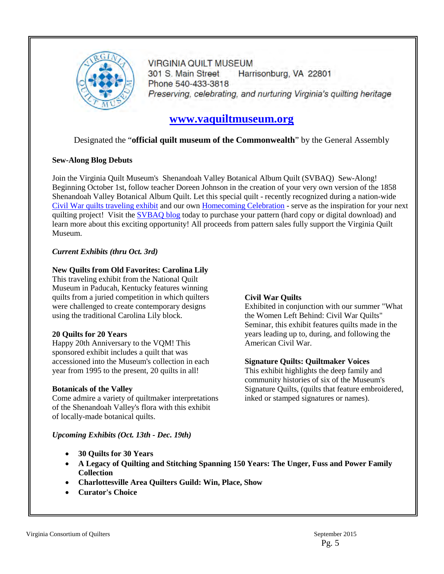

**VIRGINIA QUILT MUSEUM** 301 S. Main Street Harrisonburg, VA 22801 Phone 540-433-3818 Preserving, celebrating, and nurturing Virginia's quilting heritage

## **[www.vaquiltmuseum.org](http://www.vaquiltmuseum.org/)**

## Designated the "**official quilt museum of the Commonwealth**" by the General Assembly

## **Sew-Along Blog Debuts**

Join the Virginia Quilt Museum's Shenandoah Valley Botanical Album Quilt (SVBAQ) Sew-Along! Beginning October 1st, follow teacher Doreen Johnson in the creation of your very own version of the 1858 Shenandoah Valley Botanical Album Quilt. Let this special quilt - recently recognized during a nation-wide [Civil War quilts traveling exhibit](http://r20.rs6.net/tn.jsp?f=001XDpGwC2x1EJ3spfUxD3cMMiBVfg4rvytbVs_NPOC5veF489q0RuG_TNfogcVVLOhv6ZvuTuq5X_XbvixwFCMplujqJweDHGjuz8Dj36WijBPlIDVz10ulqHL0UVe7SQt7cEsMFPtr7v3RU5IkJa8yBOwTfA_CgQo9Z8_9OgLuFO5WDwJpaiUuOrcJHbqv3fA-G6TPJ2fPUhkURz_epenSr_HiPYXCz7BbAaLc_RxIabIUN_RUzpbdCw7dP8RzpW-cNTbznQxso0=&c=l7NviIOrqiVPPdyFlB8w4rWTHOkiCORw4rq6XHi72rW9HL4QdCnyYA==&ch=8YmmTAHJOrCPa8UZnAlmb7ug7B4wFXSRfK2RxbL3cY36z5sv3PUMew==) and our own [Homecoming Celebration](http://r20.rs6.net/tn.jsp?f=001XDpGwC2x1EJ3spfUxD3cMMiBVfg4rvytbVs_NPOC5veF489q0RuG_TPdm_PAav1d6_EU-lkB748MsPleqQWdwZV_pkvyI0prslRl2zOWDgVlnTY2-TrgCMlqAptIZk83J9z3b-354Kmivp53x-I5NY7tasQAkh-R9k8DwxGD3bvdyNKqk3c-vSVtcltcOgky8t778dzz3UqGPtZxuee_ra3lTi70KQgo78MKX21kaDpYJpSbOQ9hDHbCrFCes762YZ241MD1OSbN9TmGbsU6M66-cy6DXz0bdVmcRoJV32c=&c=l7NviIOrqiVPPdyFlB8w4rWTHOkiCORw4rq6XHi72rW9HL4QdCnyYA==&ch=8YmmTAHJOrCPa8UZnAlmb7ug7B4wFXSRfK2RxbL3cY36z5sv3PUMew==) - serve as the inspiration for your next quilting project! Visit the **SVBAQ** blog today to purchase your pattern (hard copy or digital download) and learn more about this exciting opportunity! All proceeds from pattern sales fully support the Virginia Quilt Museum.

## *Current Exhibits (thru Oct. 3rd)*

## **New Quilts from Old Favorites: Carolina Lily**

This traveling exhibit from the National Quilt Museum in Paducah, Kentucky features winning quilts from a juried competition in which quilters were challenged to create contemporary designs using the traditional Carolina Lily block.

## **20 Quilts for 20 Years**

Happy 20th Anniversary to the VQM! This sponsored exhibit includes a quilt that was accessioned into the Museum's collection in each year from 1995 to the present, 20 quilts in all!

## **Botanicals of the Valley**

Come admire a variety of quiltmaker interpretations of the Shenandoah Valley's flora with this exhibit of locally-made botanical quilts.

## **Civil War Quilts**

Exhibited in conjunction with our summer "What the Women Left Behind: Civil War Quilts" Seminar, this exhibit features quilts made in the years leading up to, during, and following the American Civil War.

## **Signature Quilts: Quiltmaker Voices**

This exhibit highlights the deep family and community histories of six of the Museum's Signature Quilts, (quilts that feature embroidered, inked or stamped signatures or names).

*Upcoming Exhibits (Oct. 13th - Dec. 19th)* 

- **30 Quilts for 30 Years**
- **A Legacy of Quilting and Stitching Spanning 150 Years: The Unger, Fuss and Power Family Collection**
- **Charlottesville Area Quilters Guild: Win, Place, Show**
- **Curator's Choice**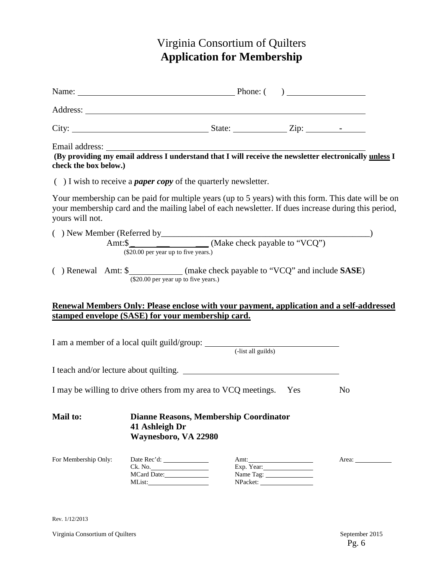# Virginia Consortium of Quilters **Application for Membership**

|                                                                               |                                        | Name: <u>Name:</u> Phone: ( )                 |                                 |                                                                                                                                                                                                            |
|-------------------------------------------------------------------------------|----------------------------------------|-----------------------------------------------|---------------------------------|------------------------------------------------------------------------------------------------------------------------------------------------------------------------------------------------------------|
|                                                                               |                                        |                                               |                                 |                                                                                                                                                                                                            |
|                                                                               |                                        |                                               |                                 |                                                                                                                                                                                                            |
| check the box below.)                                                         |                                        |                                               |                                 | Email address: The address of the set of the set of the set of the set of the set of the set of the providing my email address I understand that I will receive the newsletter electronically unless I     |
| $( )$ I wish to receive a <i>paper copy</i> of the quarterly newsletter.      |                                        |                                               |                                 |                                                                                                                                                                                                            |
| yours will not.                                                               |                                        |                                               |                                 | Your membership can be paid for multiple years (up to 5 years) with this form. This date will be on<br>your membership card and the mailing label of each newsletter. If dues increase during this period, |
|                                                                               |                                        |                                               |                                 |                                                                                                                                                                                                            |
| () Renewal Amt: \$_____________(make check payable to "VCQ" and include SASE) | (\$20.00 per year up to five years.)   |                                               |                                 |                                                                                                                                                                                                            |
|                                                                               |                                        |                                               |                                 | Renewal Members Only: Please enclose with your payment, application and a self-addressed                                                                                                                   |
| stamped envelope (SASE) for your membership card.                             |                                        |                                               |                                 |                                                                                                                                                                                                            |
|                                                                               |                                        |                                               |                                 |                                                                                                                                                                                                            |
|                                                                               |                                        |                                               |                                 |                                                                                                                                                                                                            |
| I may be willing to drive others from my area to VCQ meetings. Yes            |                                        |                                               |                                 | N <sub>0</sub>                                                                                                                                                                                             |
| <b>Mail to:</b>                                                               | 41 Ashleigh Dr<br>Waynesboro, VA 22980 | <b>Dianne Reasons, Membership Coordinator</b> |                                 |                                                                                                                                                                                                            |
| For Membership Only:                                                          | Ck. No.<br>MCard Date:                 |                                               | Amt:<br>Exp. Year:<br>Name Tag: | Area:                                                                                                                                                                                                      |

Rev. 1/12/2013

Virginia Consortium of Quilters September 2015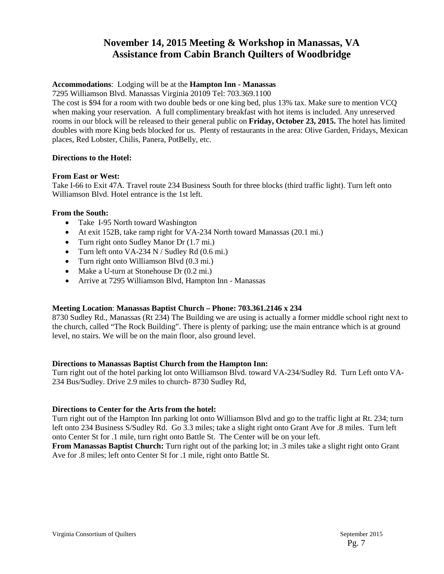## **November 14, 2015 Meeting & Workshop in Manassas, VA Assistance from Cabin Branch Quilters of Woodbridge**

## **Accommodations**: Lodging will be at the **Hampton Inn - Manassas**

7295 Williamson Blvd. Manassas Virginia 20109 Tel: 703.369.1100

The cost is \$94 for a room with two double beds or one king bed, plus 13% tax. Make sure to mention VCQ when making your reservation. A full complimentary breakfast with hot items is included. Any unreserved rooms in our block will be released to their general public on **Friday, October 23, 2015.** The hotel has limited doubles with more King beds blocked for us. Plenty of restaurants in the area: Olive Garden, Fridays, Mexican places, Red Lobster, Chilis, Panera, PotBelly, etc.

## **Directions to the Hotel:**

## **From East or West:**

Take I-66 to Exit 47A. Travel route 234 Business South for three blocks (third traffic light). Turn left onto Williamson Blvd. Hotel entrance is the 1st left.

## **From the South:**

- Take I-95 North toward Washington
- At exit 152B, take ramp right for VA-234 North toward Manassas (20.1 mi.)
- Turn right onto Sudley Manor Dr (1.7 mi.)
- Turn left onto VA-234 N / Sudley Rd (0.6 mi.)
- Turn right onto Williamson Blvd (0.3 mi.)
- Make a U-turn at Stonehouse Dr (0.2 mi.)
- Arrive at 7295 Williamson Blvd, Hampton Inn Manassas

## **Meeting Location**: **Manassas Baptist Church – Phone: 703.361.2146 x 234**

8730 Sudley Rd., Manassas (Rt 234) The Building we are using is actually a former middle school right next to the church, called "The Rock Building". There is plenty of parking; use the main entrance which is at ground level, no stairs. We will be on the main floor, also ground level.

## **Directions to Manassas Baptist Church from the Hampton Inn:**

Turn right out of the hotel parking lot onto Williamson Blvd. toward VA-234/Sudley Rd. Turn Left onto VA-234 Bus/Sudley. Drive 2.9 miles to church- 8730 Sudley Rd,

## **Directions to Center for the Arts from the hotel:**

Turn right out of the Hampton Inn parking lot onto Williamson Blvd and go to the traffic light at Rt. 234; turn left onto 234 Business S/Sudley Rd. Go 3.3 miles; take a slight right onto Grant Ave for .8 miles. Turn left onto Center St for .1 mile, turn right onto Battle St. The Center will be on your left.

**From Manassas Baptist Church:** Turn right out of the parking lot; in .3 miles take a slight right onto Grant Ave for .8 miles; left onto Center St for .1 mile, right onto Battle St.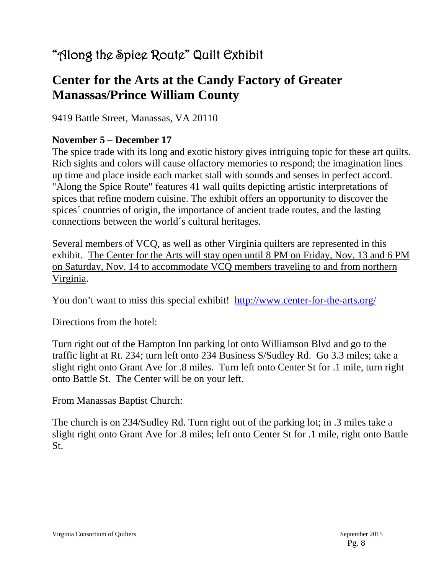# "Along the Spice Route" Quilt Exhibit

# **Center for the Arts at the Candy Factory of Greater Manassas/Prince William County**

9419 Battle Street, Manassas, VA 20110

## **November 5 – December 17**

The spice trade with its long and exotic history gives intriguing topic for these art quilts. Rich sights and colors will cause olfactory memories to respond; the imagination lines up time and place inside each market stall with sounds and senses in perfect accord. "Along the Spice Route" features 41 wall quilts depicting artistic interpretations of spices that refine modern cuisine. The exhibit offers an opportunity to discover the spices´ countries of origin, the importance of ancient trade routes, and the lasting connections between the world´s cultural heritages.

Several members of VCQ, as well as other Virginia quilters are represented in this exhibit. The Center for the Arts will stay open until 8 PM on Friday, Nov. 13 and 6 PM on Saturday, Nov. 14 to accommodate VCQ members traveling to and from northern Virginia.

You don't want to miss this special exhibit! <http://www.center-for-the-arts.org/>

Directions from the hotel:

Turn right out of the Hampton Inn parking lot onto Williamson Blvd and go to the traffic light at Rt. 234; turn left onto 234 Business S/Sudley Rd. Go 3.3 miles; take a slight right onto Grant Ave for .8 miles. Turn left onto Center St for .1 mile, turn right onto Battle St. The Center will be on your left.

From Manassas Baptist Church:

The church is on 234/Sudley Rd. Turn right out of the parking lot; in .3 miles take a slight right onto Grant Ave for .8 miles; left onto Center St for .1 mile, right onto Battle St.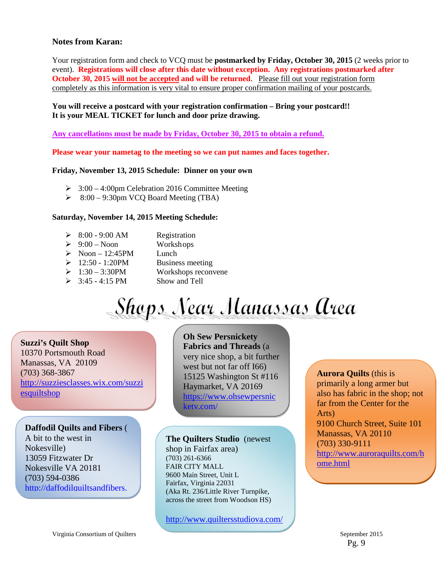## **Notes from Karan:**

Your registration form and check to VCQ must be **postmarked by Friday, October 30, 2015** (2 weeks prior to event). **Registrations will close after this date without exception. Any registrations postmarked after October 30, 2015 will not be accepted and will be returned.** Please fill out your registration form completely as this information is very vital to ensure proper confirmation mailing of your postcards.

## **You will receive a postcard with your registration confirmation – Bring your postcard!! It is your MEAL TICKET for lunch and door prize drawing.**

**Any cancellations must be made by Friday, October 30, 2015 to obtain a refund.**

**Please wear your nametag to the meeting so we can put names and faces together.**

#### **Friday, November 13, 2015 Schedule: Dinner on your own**

- $\geq$  3:00 4:00pm Celebration 2016 Committee Meeting
- $\geq$  8:00 9:30pm VCQ Board Meeting (TBA)

#### **Saturday, November 14, 2015 Meeting Schedule:**

- $\geq$  8:00 9:00 AM Registration
- $\geq 9:00$  Noon Workshops
- $\triangleright$  Noon 12:45PM Lunch
- $\geq 12:50 1:20$ PM Business meeting
- $\geq 1:30 3:30$ PM Workshops reconvene
- $\geq$  3:45 4:15 PM Show and Tell

# Shops Near Manassas Area

**Suzzi's Quilt Shop** 10370 Portsmouth Road Manassas, VA 20109 (703) 368-3867 [http://suzziesclasses.wix.com/suzzi](http://suzziesclasses.wix.com/suzziesquiltshop) **[esquiltshop](http://suzziesclasses.wix.com/suzziesquiltshop)** 

## **Daffodil Quilts and Fibers** (

A bit to the west in Nokesville) 13059 Fitzwater Dr Nokesville VA 20181 (703) 594-0386 [http://daffodilquiltsandfibers.](http://daffodilquiltsandfibers.com/home.htm) **Oh Sew Persnickety Fabrics and Threads** (a very nice shop, a bit further west but not far off I66) 15125 Washington St #116 Haymarket, VA 20169 [https://www.ohsewpersnic](https://www.ohsewpersnickety.com/) [kety.com/](https://www.ohsewpersnickety.com/)

## **The Quilters Studio** (newest

shop in Fairfax area) (703) 261-6366 FAIR CITY MALL 9600 Main Street, Unit L Fairfax, Virginia 22031 (Aka Rt. 236/Little River Turnpike, across the street from Woodson HS)

<http://www.quiltersstudiova.com/>

## **Aurora Quilts** (this is primarily a long armer but also has fabric in the shop; not far from the Center for the Arts) 9100 Church Street, Suite 101 Manassas, VA 20110 (703) 330-9111 [http://www.auroraquilts.com/h](http://www.auroraquilts.com/home.html) [ome.html](http://www.auroraquilts.com/home.html)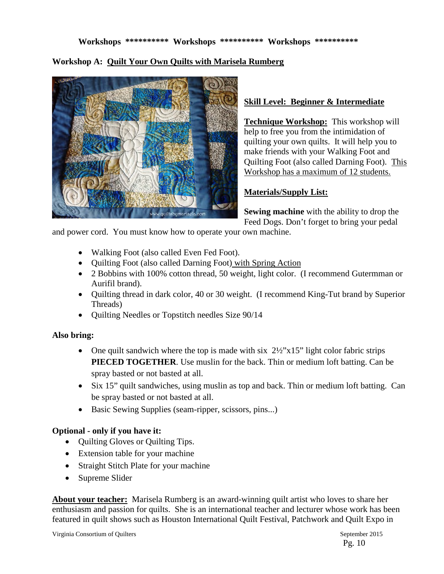## **Workshop A: Quilt Your Own Quilts with Marisela Rumberg**



## **Skill Level: Beginner & Intermediate**

**Technique Workshop:** This workshop will help to free you from the intimidation of quilting your own quilts. It will help you to make friends with your Walking Foot and Quilting Foot (also called Darning Foot). This Workshop has a maximum of 12 students.

## **Materials/Supply List:**

**Sewing machine** with the ability to drop the Feed Dogs. Don't forget to bring your pedal

and power cord. You must know how to operate your own machine.

- Walking Foot (also called Even Fed Foot).
- Quilting Foot (also called Darning Foot) with Spring Action
- 2 Bobbins with 100% cotton thread, 50 weight, light color. (I recommend Gutermman or Aurifil brand).
- Quilting thread in dark color, 40 or 30 weight. (I recommend King-Tut brand by Superior Threads)
- Ouilting Needles or Topstitch needles Size 90/14

## **Also bring:**

- One quilt sandwich where the top is made with six  $2\frac{1}{2}$ "x15" light color fabric strips **PIECED TOGETHER**. Use muslin for the back. Thin or medium loft batting. Can be spray basted or not basted at all.
- Six 15" quilt sandwiches, using muslin as top and back. Thin or medium loft batting. Can be spray basted or not basted at all.
- Basic Sewing Supplies (seam-ripper, scissors, pins...)

## **Optional - only if you have it:**

- Quilting Gloves or Quilting Tips.
- Extension table for your machine
- Straight Stitch Plate for your machine
- Supreme Slider

**About your teacher:** Marisela Rumberg is an award-winning quilt artist who loves to share her enthusiasm and passion for quilts. She is an international teacher and lecturer whose work has been featured in quilt shows such as Houston International Quilt Festival, Patchwork and Quilt Expo in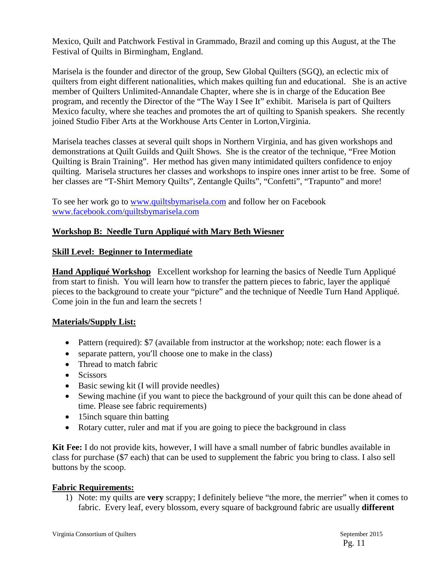Mexico, Quilt and Patchwork Festival in Grammado, Brazil and coming up this August, at the The Festival of Quilts in Birmingham, England.

Marisela is the founder and director of the group, Sew Global Quilters (SGQ), an eclectic mix of quilters from eight different nationalities, which makes quilting fun and educational. She is an active member of Quilters Unlimited-Annandale Chapter, where she is in charge of the Education Bee program, and recently the Director of the "The Way I See It" exhibit. Marisela is part of Quilters Mexico faculty, where she teaches and promotes the art of quilting to Spanish speakers. She recently joined Studio Fiber Arts at the Workhouse Arts Center in Lorton,Virginia.

Marisela teaches classes at several quilt shops in Northern Virginia, and has given workshops and demonstrations at Quilt Guilds and Quilt Shows. She is the creator of the technique, "Free Motion Quilting is Brain Training". Her method has given many intimidated quilters confidence to enjoy quilting. Marisela structures her classes and workshops to inspire ones inner artist to be free. Some of her classes are "T-Shirt Memory Quilts", Zentangle Quilts", "Confetti", "Trapunto" and more!

To see her work go to [www.quiltsbymarisela.com](http://www.quiltsbymarisela.com/) and follow her on Facebook [www.facebook.com/quiltsbymarisela.com](http://www.facebook.com/quiltsbymarisela.com) 

## **Workshop B: Needle Turn Appliqué with Mary Beth Wiesner**

## **Skill Level: Beginner to Intermediate**

**Hand Appliqué Workshop** Excellent workshop for learning the basics of Needle Turn Appliqué from start to finish. You will learn how to transfer the pattern pieces to fabric, layer the appliqué pieces to the background to create your "picture" and the technique of Needle Turn Hand Appliqué. Come join in the fun and learn the secrets !

## **Materials/Supply List:**

- Pattern (required): \$7 (available from instructor at the workshop; note: each flower is a
- separate pattern, you'll choose one to make in the class)
- Thread to match fabric
- Scissors
- Basic sewing kit (I will provide needles)
- Sewing machine (if you want to piece the background of your quilt this can be done ahead of time. Please see fabric requirements)
- 15inch square thin batting
- Rotary cutter, ruler and mat if you are going to piece the background in class

**Kit Fee:** I do not provide kits, however, I will have a small number of fabric bundles available in class for purchase (\$7 each) that can be used to supplement the fabric you bring to class. I also sell buttons by the scoop.

## **Fabric Requirements:**

1) Note: my quilts are **very** scrappy; I definitely believe "the more, the merrier" when it comes to fabric. Every leaf, every blossom, every square of background fabric are usually **different**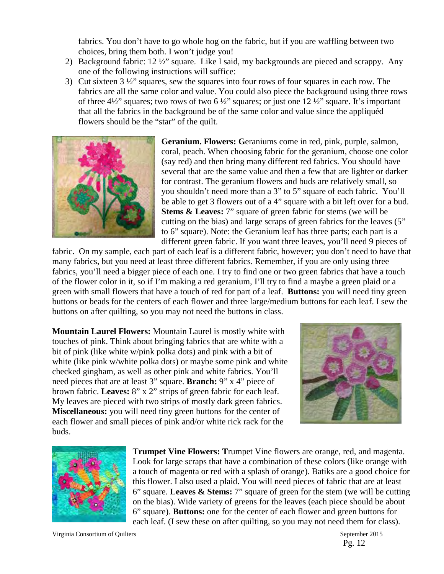fabrics. You don't have to go whole hog on the fabric, but if you are waffling between two choices, bring them both. I won't judge you!

- 2) Background fabric: 12 ½" square. Like I said, my backgrounds are pieced and scrappy. Any one of the following instructions will suffice:
- 3) Cut sixteen 3 ½" squares, sew the squares into four rows of four squares in each row. The fabrics are all the same color and value. You could also piece the background using three rows of three 4 $\frac{4}{2}$ " squares; two rows of two 6  $\frac{1}{2}$ " squares; or just one 12  $\frac{1}{2}$ " square. It's important that all the fabrics in the background be of the same color and value since the appliquéd flowers should be the "star" of the quilt.



**Geranium. Flowers: G**eraniums come in red, pink, purple, salmon, coral, peach. When choosing fabric for the geranium, choose one color (say red) and then bring many different red fabrics. You should have several that are the same value and then a few that are lighter or darker for contrast. The geranium flowers and buds are relatively small, so you shouldn't need more than a 3" to 5" square of each fabric. You'll be able to get 3 flowers out of a 4" square with a bit left over for a bud. **Stems & Leaves:** 7" square of green fabric for stems (we will be cutting on the bias) and large scraps of green fabrics for the leaves (5" to 6" square). Note: the Geranium leaf has three parts; each part is a different green fabric. If you want three leaves, you'll need 9 pieces of

fabric. On my sample, each part of each leaf is a different fabric, however; you don't need to have that many fabrics, but you need at least three different fabrics. Remember, if you are only using three fabrics, you'll need a bigger piece of each one. I try to find one or two green fabrics that have a touch of the flower color in it, so if I'm making a red geranium, I'll try to find a maybe a green plaid or a green with small flowers that have a touch of red for part of a leaf. **Buttons:** you will need tiny green buttons or beads for the centers of each flower and three large/medium buttons for each leaf. I sew the buttons on after quilting, so you may not need the buttons in class.

**Mountain Laurel Flowers:** Mountain Laurel is mostly white with touches of pink. Think about bringing fabrics that are white with a bit of pink (like white w/pink polka dots) and pink with a bit of white (like pink w/white polka dots) or maybe some pink and white checked gingham, as well as other pink and white fabrics. You'll need pieces that are at least 3" square. **Branch:** 9" x 4" piece of brown fabric. **Leaves:** 8" x 2" strips of green fabric for each leaf. My leaves are pieced with two strips of mostly dark green fabrics. **Miscellaneous:** you will need tiny green buttons for the center of each flower and small pieces of pink and/or white rick rack for the buds.





**Trumpet Vine Flowers: T**rumpet Vine flowers are orange, red, and magenta. Look for large scraps that have a combination of these colors (like orange with a touch of magenta or red with a splash of orange). Batiks are a good choice for this flower. I also used a plaid. You will need pieces of fabric that are at least 6" square. **Leaves & Stems:** 7" square of green for the stem (we will be cutting on the bias). Wide variety of greens for the leaves (each piece should be about 6" square). **Buttons:** one for the center of each flower and green buttons for each leaf. (I sew these on after quilting, so you may not need them for class).

Virginia Consortium of Quilters September 2015

Pg. 12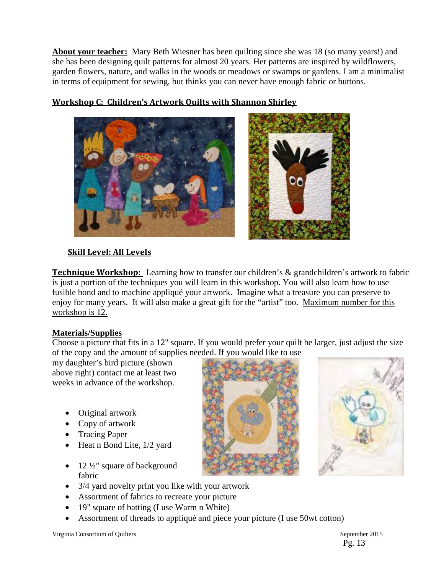**About your teacher:** Mary Beth Wiesner has been quilting since she was 18 (so many years!) and she has been designing quilt patterns for almost 20 years. Her patterns are inspired by wildflowers, garden flowers, nature, and walks in the woods or meadows or swamps or gardens. I am a minimalist in terms of equipment for sewing, but thinks you can never have enough fabric or buttons.



## **Workshop C: Children's Artwork Quilts with Shannon Shirley**

## **Skill Level: All Levels**

**Technique Workshop:** Learning how to transfer our children's & grandchildren's artwork to fabric is just a portion of the techniques you will learn in this workshop. You will also learn how to use fusible bond and to machine appliqué your artwork. Imagine what a treasure you can preserve to enjoy for many years. It will also make a great gift for the "artist" too. Maximum number for this workshop is 12.

## **Materials/Supplies**

Choose a picture that fits in a 12" square. If you would prefer your quilt be larger, just adjust the size of the copy and the amount of supplies needed. If you would like to use

my daughter's bird picture (shown above right) contact me at least two weeks in advance of the workshop.

- Original artwork
- Copy of artwork
- Tracing Paper
- Heat n Bond Lite, 1/2 yard
- 12 ½" square of background fabric





- 3/4 yard novelty print you like with your artwork
- Assortment of fabrics to recreate your picture
- 19" square of batting (I use Warm n White)
- Assortment of threads to appliqué and piece your picture (I use 50wt cotton)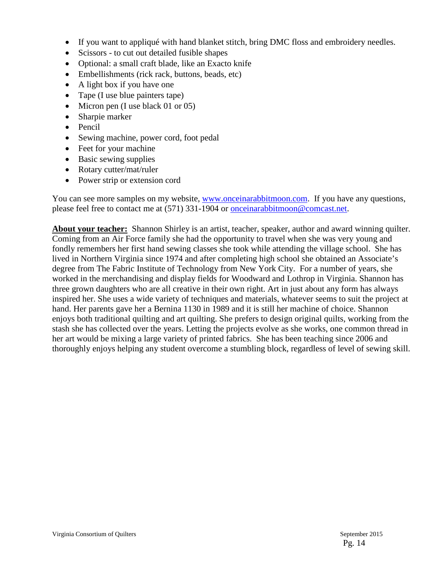- If you want to applique with hand blanket stitch, bring DMC floss and embroidery needles.
- Scissors to cut out detailed fusible shapes
- Optional: a small craft blade, like an Exacto knife
- Embellishments (rick rack, buttons, beads, etc)
- A light box if you have one
- Tape (I use blue painters tape)
- Micron pen (I use black 01 or 05)
- Sharpie marker
- Pencil
- Sewing machine, power cord, foot pedal
- Feet for your machine
- Basic sewing supplies
- Rotary cutter/mat/ruler
- Power strip or extension cord

You can see more samples on my website, [www.onceinarabbitmoon.com.](http://www.onceinarabbitmoon.com/) If you have any questions, please feel free to contact me at (571) 331-1904 or [onceinarabbitmoon@comcast.net.](mailto:onceinarabbitmoon@comcast.net)

**About your teacher:** Shannon Shirley is an artist, teacher, speaker, author and award winning quilter. Coming from an Air Force family she had the opportunity to travel when she was very young and fondly remembers her first hand sewing classes she took while attending the village school. She has lived in Northern Virginia since 1974 and after completing high school she obtained an Associate's degree from The Fabric Institute of Technology from New York City. For a number of years, she worked in the merchandising and display fields for Woodward and Lothrop in Virginia. Shannon has three grown daughters who are all creative in their own right. Art in just about any form has always inspired her. She uses a wide variety of techniques and materials, whatever seems to suit the project at hand. Her parents gave her a Bernina 1130 in 1989 and it is still her machine of choice. Shannon enjoys both traditional quilting and art quilting. She prefers to design original quilts, working from the stash she has collected over the years. Letting the projects evolve as she works, one common thread in her art would be mixing a large variety of printed fabrics. She has been teaching since 2006 and thoroughly enjoys helping any student overcome a stumbling block, regardless of level of sewing skill.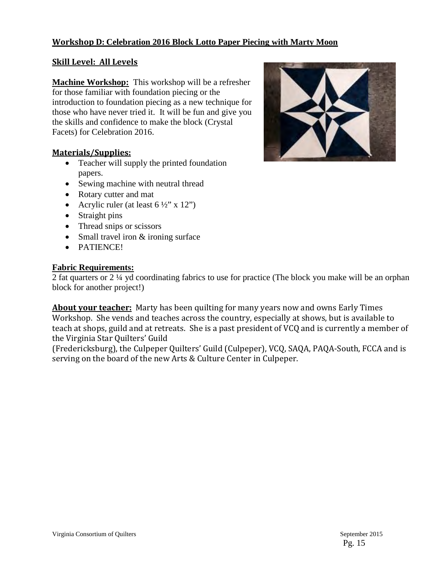## **Workshop D: Celebration 2016 Block Lotto Paper Piecing with Marty Moon**

## **Skill Level: All Levels**

**Machine Workshop:** This workshop will be a refresher for those familiar with foundation piecing or the introduction to foundation piecing as a new technique for those who have never tried it. It will be fun and give you the skills and confidence to make the block (Crystal Facets) for Celebration 2016.

## **Materials/Supplies:**

- Teacher will supply the printed foundation papers.
- Sewing machine with neutral thread
- Rotary cutter and mat
- Acrylic ruler (at least  $6\frac{1}{2}$ " x 12")
- Straight pins
- Thread snips or scissors
- Small travel iron & ironing surface
- PATIENCE!

## **Fabric Requirements:**

2 fat quarters or 2 ¼ yd coordinating fabrics to use for practice (The block you make will be an orphan block for another project!)

**About your teacher:** Marty has been quilting for many years now and owns Early Times Workshop. She vends and teaches across the country, especially at shows, but is available to teach at shops, guild and at retreats. She is a past president of VCQ and is currently a member of the Virginia Star Quilters' Guild

(Fredericksburg), the Culpeper Quilters' Guild (Culpeper), VCQ, SAQA, PAQA-South, FCCA and is serving on the board of the new Arts & Culture Center in Culpeper.

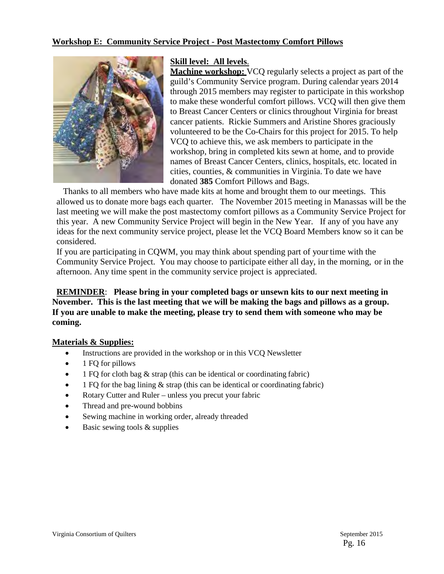## **Workshop E: Community Service Project - Post Mastectomy Comfort Pillows**



## **Skill level: All levels**.

**Machine workshop:** VCQ regularly selects a project as part of the guild's Community Service program. During calendar years 2014 through 2015 members may register to participate in this workshop to make these wonderful comfort pillows. VCQ will then give them to Breast Cancer Centers or clinics throughout Virginia for breast cancer patients. Rickie Summers and Aristine Shores graciously volunteered to be the Co-Chairs for this project for 2015. To help VCQ to achieve this, we ask members to participate in the workshop, bring in completed kits sewn at home, and to provide names of Breast Cancer Centers, clinics, hospitals, etc. located in cities, counties, & communities in Virginia. To date we have donated **385** Comfort Pillows and Bags.

 Thanks to all members who have made kits at home and brought them to our meetings. This allowed us to donate more bags each quarter. The November 2015 meeting in Manassas will be the last meeting we will make the post mastectomy comfort pillows as a Community Service Project for this year. A new Community Service Project will begin in the New Year. If any of you have any ideas for the next community service project, please let the VCQ Board Members know so it can be considered.

 If you are participating in CQWM, you may think about spending part of your time with the Community Service Project. You may choose to participate either all day, in the morning, or in the afternoon. Any time spent in the community service project is appreciated.

## **REMINDER**: **Please bring in your completed bags or unsewn kits to our next meeting in November. This is the last meeting that we will be making the bags and pillows as a group. If you are unable to make the meeting, please try to send them with someone who may be coming.**

## **Materials & Supplies:**

- Instructions are provided in the workshop or in this VCQ Newsletter
- 1 FQ for pillows
- 1 FQ for cloth bag & strap (this can be identical or coordinating fabric)
- 1 FQ for the bag lining  $\&$  strap (this can be identical or coordinating fabric)
- Rotary Cutter and Ruler unless you precut your fabric
- Thread and pre-wound bobbins
- Sewing machine in working order, already threaded
- Basic sewing tools & supplies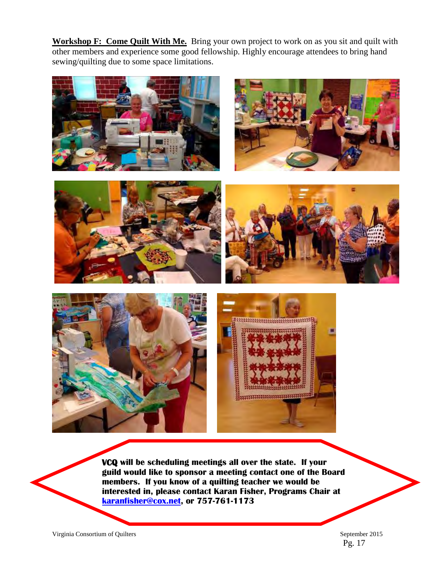**Workshop F: Come Quilt With Me.** Bring your own project to work on as you sit and quilt with other members and experience some good fellowship. Highly encourage attendees to bring hand sewing/quilting due to some space limitations.













**VCQ will be scheduling meetings all over the state. If your guild would like to sponsor a meeting contact one of the Board members. If you know of a quilting teacher we would be interested in, please contact Karan Fisher, Programs Chair at [karanfisher@cox.net,](mailto:karanfisher@cox.net) or 757-761-1173**

Virginia Consortium of Quilters September 2015

Pg. 17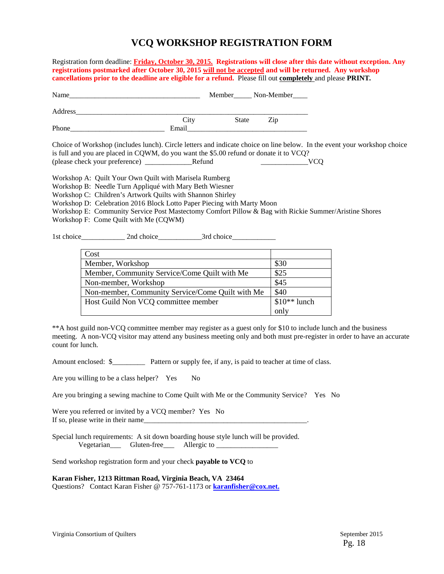## **VCQ WORKSHOP REGISTRATION FORM**

Registration form deadline: **Friday, October 30, 2015.****Registrations will close after this date without exception. Any registrations postmarked after October 30, 2015 will not be accepted and will be returned. Any workshop cancellations prior to the deadline are eligible for a refund.** Please fill out **completely** and please **PRINT***.* 

| Name    |       | Member______ Non-Member_____ |     |  |
|---------|-------|------------------------------|-----|--|
| Address |       |                              |     |  |
|         | City  | State                        | Zip |  |
| Phone   | Email |                              |     |  |

Choice of Workshop (includes lunch). Circle letters and indicate choice on line below. In the event your workshop choice is full and you are placed in CQWM, do you want the \$5.00 refund or donate it to VCQ? (please check your preference) \_\_\_\_\_\_\_\_\_\_\_\_\_Refund \_\_\_\_\_\_\_\_\_\_\_\_\_VCQ

Workshop A: Quilt Your Own Quilt with Marisela Rumberg

Workshop B: Needle Turn Appliqué with Mary Beth Wiesner

Workshop C: Children's Artwork Quilts with Shannon Shirley

Workshop D: Celebration 2016 Block Lotto Paper Piecing with Marty Moon

Workshop E: Community Service Post Mastectomy Comfort Pillow & Bag with Rickie Summer/Aristine Shores Workshop F: Come Quilt with Me (CQWM)

1st choice\_\_\_\_\_\_\_\_\_\_\_\_ 2nd choice\_\_\_\_\_\_\_\_\_\_\_\_3rd choice\_\_\_\_\_\_\_\_\_\_\_\_

| Cost                                             |               |
|--------------------------------------------------|---------------|
| Member, Workshop                                 | \$30          |
| Member, Community Service/Come Quilt with Me     | \$25          |
| Non-member, Workshop                             | \$45          |
| Non-member, Community Service/Come Quilt with Me | \$40          |
| Host Guild Non VCQ committee member              | $$10**$ lunch |
|                                                  | only          |

\*\*A host guild non-VCQ committee member may register as a guest only for \$10 to include lunch and the business meeting. A non-VCQ visitor may attend any business meeting only and both must pre-register in order to have an accurate count for lunch.

Amount enclosed: \$\_\_\_\_\_\_\_\_\_ Pattern or supply fee, if any, is paid to teacher at time of class.

Are you willing to be a class helper? Yes No

Are you bringing a sewing machine to Come Quilt with Me or the Community Service? Yes No

Were you referred or invited by a VCQ member? Yes No If so, please write in their name

Special lunch requirements: A sit down boarding house style lunch will be provided. Vegetarian\_\_\_ Gluten-free\_\_\_ Allergic to \_\_\_\_\_\_\_\_\_\_\_\_\_\_\_\_\_

Send workshop registration form and your check **payable to VCQ** to

**Karan Fisher, 1213 Rittman Road, Virginia Beach, VA 23464**

Questions? Contact Karan Fisher @ 757-761-1173 or **[karanfisher@cox.net.](mailto:karanfisher@cox.net.)**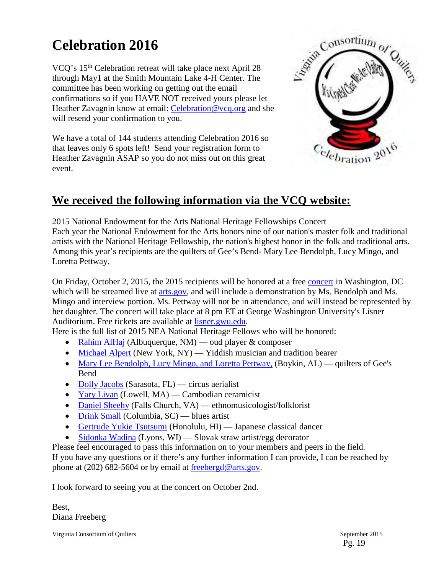# **Celebration 2016**

VCQ's 15th Celebration retreat will take place next April 28 through May1 at the Smith Mountain Lake 4-H Center. The committee has been working on getting out the email confirmations so if you HAVE NOT received yours please let Heather Zavagnin know at email: [Celebration@vcq.org](mailto:Celebration@vcq.org) and she will resend your confirmation to you.

We have a total of 144 students attending Celebration 2016 so that leaves only 6 spots left! Send your registration form to Heather Zavagnin ASAP so you do not miss out on this great event.



## **We received the following information via the VCQ website:**

2015 National Endowment for the Arts National Heritage Fellowships Concert Each year the National Endowment for the Arts honors nine of our nation's master folk and traditional artists with the National Heritage Fellowship, the nation's highest honor in the folk and traditional arts. Among this year's recipients are the quilters of Gee's Bend- Mary Lee Bendolph, Lucy Mingo, and Loretta Pettway.

On Friday, October 2, 2015, the 2015 recipients will be honored at a free [concert](http://arts.gov/news/2015/nea-celebrates-folk-and-traditional-arts-free-concert) in Washington, DC which will be streamed live at [arts.gov,](http://arts.gov/lifetime-honors/nea-national-heritage-fellowships/2015-nea-national-heritage-fellowships-concert) and will include a demonstration by Ms. Bendolph and Ms. Mingo and interview portion. Ms. Pettway will not be in attendance, and will instead be represented by her daughter. The concert will take place at 8 pm ET at George Washington University's Lisner Auditorium. Free tickets are available at [lisner.gwu.edu.](http://lisner.gwu.edu/2015-nea-national-heritage-fellowships-concert)

Here is the full list of 2015 NEA National Heritage Fellows who will be honored:

- [Rahim AlHaj](http://arts.gov/honors/heritage/fellows/rahim-alhaj) (Albuquerque, NM) oud player  $&$  composer
- [Michael Alpert](http://arts.gov/honors/heritage/fellows/michael-alpert) (New York, NY) Yiddish musician and tradition bearer
- [Mary Lee Bendolph, Lucy Mingo, and Loretta Pettway,](http://arts.gov/honors/heritage/fellows/mary-lee-bendolph-lucy-mingo-and-loretta-pettway) (Boykin, AL) quilters of Gee's Bend
- [Dolly Jacobs](http://arts.gov/honors/heritage/fellows/dolly-jacobs) (Sarasota, FL) circus aerialist
- [Yary Livan](http://arts.gov/honors/heritage/fellows/yary-livan) (Lowell, MA) Cambodian ceramicist
- [Daniel Sheehy](http://arts.gov/honors/heritage/fellows/daniel-sheehy) (Falls Church, VA) ethnomusicologist/folklorist
- [Drink Small](http://arts.gov/honors/heritage/fellows/drink-small) (Columbia, SC) blues artist
- [Gertrude Yukie Tsutsumi](http://arts.gov/honors/heritage/fellows/gertrude-yukie-tsutsumi) (Honolulu, HI) Japanese classical dancer
- [Sidonka Wadina](http://arts.gov/honors/heritage/fellows/sidonka-wadina) (Lyons, WI) Slovak straw artist/egg decorator

Please feel encouraged to pass this information on to your members and peers in the field. If you have any questions or if there's any further information I can provide, I can be reached by phone at (202) 682-5604 or by email at [freebergd@arts.gov.](mailto:freebergd@arts.gov)

I look forward to seeing you at the concert on October 2nd.

Best, Diana Freeberg

Virginia Consortium of Quilters September 2015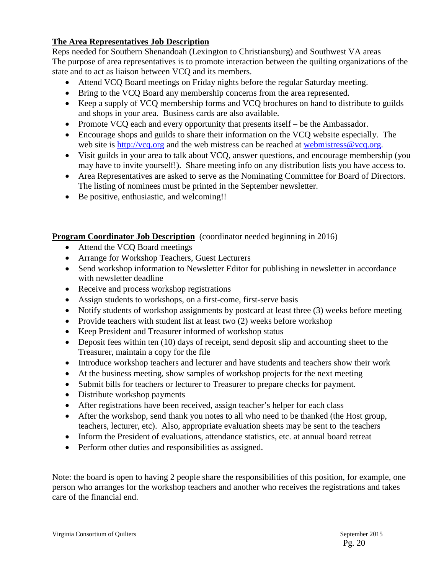## **The Area Representatives Job Description**

Reps needed for Southern Shenandoah (Lexington to Christiansburg) and Southwest VA areas The purpose of area representatives is to promote interaction between the quilting organizations of the state and to act as liaison between VCQ and its members.

- Attend VCQ Board meetings on Friday nights before the regular Saturday meeting.
- Bring to the VCQ Board any membership concerns from the area represented.
- Keep a supply of VCQ membership forms and VCQ brochures on hand to distribute to guilds and shops in your area. Business cards are also available.
- Promote VCO each and every opportunity that presents itself be the Ambassador.
- Encourage shops and guilds to share their information on the VCQ website especially. The web site is [http://vcq.org](http://vcq.org/) and the web mistress can be reached at [webmistress@vcq.org.](mailto:webmistress@vcq.org)
- Visit guilds in your area to talk about VCQ, answer questions, and encourage membership (you may have to invite yourself!). Share meeting info on any distribution lists you have access to.
- Area Representatives are asked to serve as the Nominating Committee for Board of Directors. The listing of nominees must be printed in the September newsletter.
- Be positive, enthusiastic, and welcoming!!

## **Program Coordinator Job Description** (coordinator needed beginning in 2016)

- Attend the VCQ Board meetings
- Arrange for Workshop Teachers, Guest Lecturers
- Send workshop information to Newsletter Editor for publishing in newsletter in accordance with newsletter deadline
- Receive and process workshop registrations
- Assign students to workshops, on a first-come, first-serve basis
- Notify students of workshop assignments by postcard at least three (3) weeks before meeting
- Provide teachers with student list at least two (2) weeks before workshop
- Keep President and Treasurer informed of workshop status
- Deposit fees within ten (10) days of receipt, send deposit slip and accounting sheet to the Treasurer, maintain a copy for the file
- Introduce workshop teachers and lecturer and have students and teachers show their work
- At the business meeting, show samples of workshop projects for the next meeting
- Submit bills for teachers or lecturer to Treasurer to prepare checks for payment.
- Distribute workshop payments
- After registrations have been received, assign teacher's helper for each class
- After the workshop, send thank you notes to all who need to be thanked (the Host group, teachers, lecturer, etc). Also, appropriate evaluation sheets may be sent to the teachers
- Inform the President of evaluations, attendance statistics, etc. at annual board retreat
- Perform other duties and responsibilities as assigned.

Note: the board is open to having 2 people share the responsibilities of this position, for example, one person who arranges for the workshop teachers and another who receives the registrations and takes care of the financial end.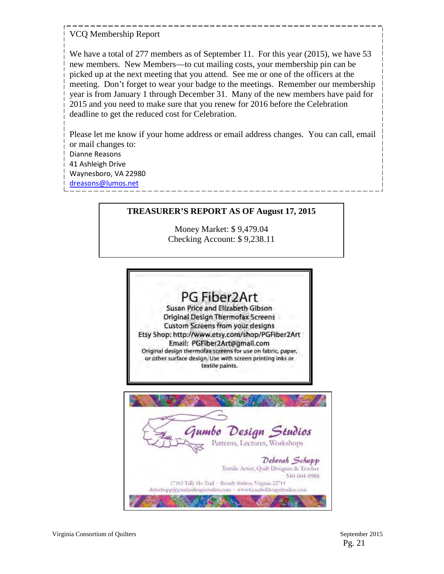## VCQ Membership Report

We have a total of 277 members as of September 11. For this year (2015), we have 53 new members. New Members—to cut mailing costs, your membership pin can be picked up at the next meeting that you attend. See me or one of the officers at the meeting. Don't forget to wear your badge to the meetings. Remember our membership year is from January 1 through December 31. Many of the new members have paid for 2015 and you need to make sure that you renew for 2016 before the Celebration deadline to get the reduced cost for Celebration.

Please let me know if your home address or email address changes. You can call, email or mail changes to: Dianne Reasons 41 Ashleigh Drive Waynesboro, VA 22980 [dreasons@lumos.net](mailto:dreasons@lumos.net)

## **TREASURER'S REPORT AS OF August 17, 2015**

Money Market: \$ 9,479.04 Checking Account: \$ 9,238.11